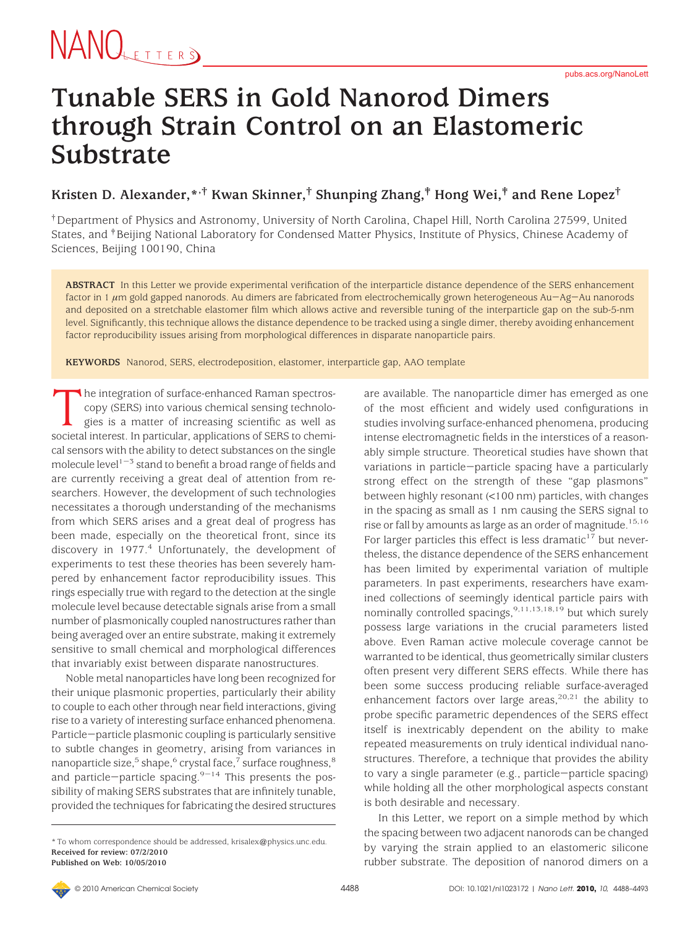#### **Tunable SERS in Gold Nanorod Dimers through Strain Control on an Elastomeric Substrate**

#### **Kristen D. Alexander,\*,† Kwan Skinner,† Shunping Zhang,‡ Hong Wei,‡ and Rene Lopez†**

†Department of Physics and Astronomy, University of North Carolina, Chapel Hill, North Carolina 27599, United States, and ‡Beijing National Laboratory for Condensed Matter Physics, Institute of Physics, Chinese Academy of Sciences, Beijing 100190, China

**ABSTRACT** In this Letter we provide experimental verification of the interparticle distance dependence of the SERS enhancement factor in 1 *<sup>µ</sup>*m gold gapped nanorods. Au dimers are fabricated from electrochemically grown heterogeneous Au-Ag-Au nanorods and deposited on a stretchable elastomer film which allows active and reversible tuning of the interparticle gap on the sub-5-nm level. Significantly, this technique allows the distance dependence to be tracked using a single dimer, thereby avoiding enhancement factor reproducibility issues arising from morphological differences in disparate nanoparticle pairs.

**KEYWORDS** Nanorod, SERS, electrodeposition, elastomer, interparticle gap, AAO template

The integration of surface-enhanced Raman spectros-<br>copy (SERS) into various chemical sensing technologies is a matter of increasing scientific as well as<br>societal interest. In particular, applications of SERS to chemicopy (SERS) into various chemical sensing technologies is a matter of increasing scientific as well as cal sensors with the ability to detect substances on the single molecule level<sup> $1-3$ </sup> stand to benefit a broad range of fields and are currently receiving a great deal of attention from researchers. However, the development of such technologies necessitates a thorough understanding of the mechanisms from which SERS arises and a great deal of progress has been made, especially on the theoretical front, since its discovery in  $1977<sup>4</sup>$  Unfortunately, the development of experiments to test these theories has been severely hampered by enhancement factor reproducibility issues. This rings especially true with regard to the detection at the single molecule level because detectable signals arise from a small number of plasmonically coupled nanostructures rather than being averaged over an entire substrate, making it extremely sensitive to small chemical and morphological differences that invariably exist between disparate nanostructures.

Noble metal nanoparticles have long been recognized for their unique plasmonic properties, particularly their ability to couple to each other through near field interactions, giving rise to a variety of interesting surface enhanced phenomena. Particle-particle plasmonic coupling is particularly sensitive to subtle changes in geometry, arising from variances in nanoparticle size, $5$  shape, $6$  crystal face, $7$  surface roughness, $8$ and particle-particle spacing. $9-14$  This presents the possibility of making SERS substrates that are infinitely tunable, provided the techniques for fabricating the desired structures are available. The nanoparticle dimer has emerged as one of the most efficient and widely used configurations in studies involving surface-enhanced phenomena, producing intense electromagnetic fields in the interstices of a reasonably simple structure. Theoretical studies have shown that variations in particle-particle spacing have a particularly strong effect on the strength of these "gap plasmons" between highly resonant (<100 nm) particles, with changes in the spacing as small as 1 nm causing the SERS signal to rise or fall by amounts as large as an order of magnitude.<sup>15,16</sup> For larger particles this effect is less dramatic<sup>17</sup> but nevertheless, the distance dependence of the SERS enhancement has been limited by experimental variation of multiple parameters. In past experiments, researchers have examined collections of seemingly identical particle pairs with nominally controlled spacings,  $9,11,13,18,19$  but which surely possess large variations in the crucial parameters listed above. Even Raman active molecule coverage cannot be warranted to be identical, thus geometrically similar clusters often present very different SERS effects. While there has been some success producing reliable surface-averaged enhancement factors over large areas, $20,21$  the ability to probe specific parametric dependences of the SERS effect itself is inextricably dependent on the ability to make repeated measurements on truly identical individual nanostructures. Therefore, a technique that provides the ability to vary a single parameter (e.g., particle-particle spacing) while holding all the other morphological aspects constant is both desirable and necessary.

In this Letter, we report on a simple method by which the spacing between two adjacent nanorods can be changed by varying the strain applied to an elastomeric silicone rubber substrate. The deposition of nanorod dimers on a

<sup>\*</sup> To whom correspondence should be addressed, krisalex@physics.unc.edu. **Received for review: 07/2/2010 Published on Web: 10/05/2010**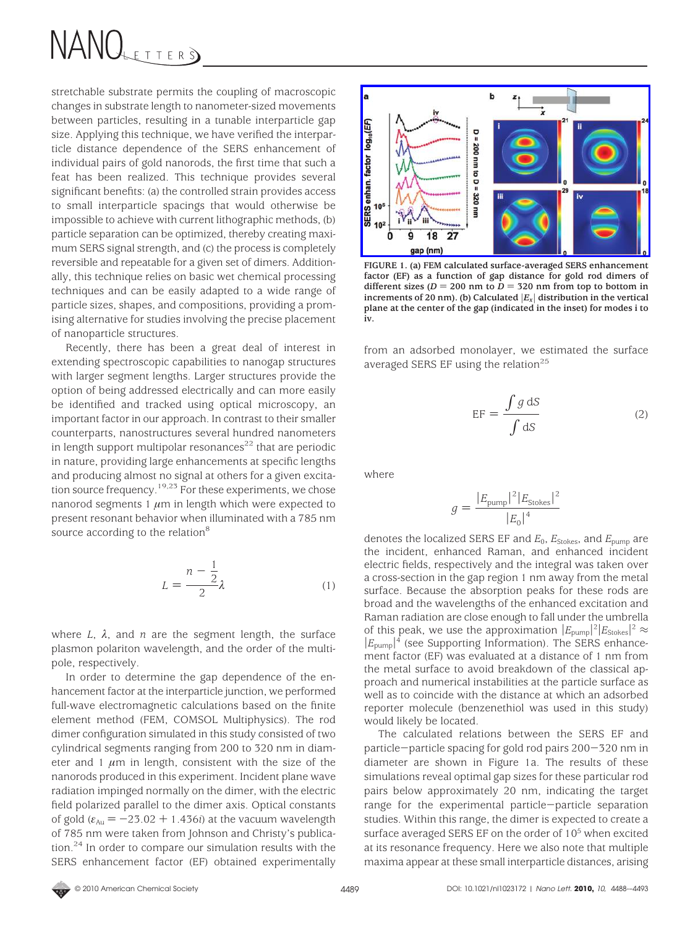### NANOLETTERS

stretchable substrate permits the coupling of macroscopic changes in substrate length to nanometer-sized movements between particles, resulting in a tunable interparticle gap size. Applying this technique, we have verified the interparticle distance dependence of the SERS enhancement of individual pairs of gold nanorods, the first time that such a feat has been realized. This technique provides several significant benefits: (a) the controlled strain provides access to small interparticle spacings that would otherwise be impossible to achieve with current lithographic methods, (b) particle separation can be optimized, thereby creating maximum SERS signal strength, and (c) the process is completely reversible and repeatable for a given set of dimers. Additionally, this technique relies on basic wet chemical processing techniques and can be easily adapted to a wide range of particle sizes, shapes, and compositions, providing a promising alternative for studies involving the precise placement of nanoparticle structures.

Recently, there has been a great deal of interest in extending spectroscopic capabilities to nanogap structures with larger segment lengths. Larger structures provide the option of being addressed electrically and can more easily be identified and tracked using optical microscopy, an important factor in our approach. In contrast to their smaller counterparts, nanostructures several hundred nanometers in length support multipolar resonances<sup>22</sup> that are periodic in nature, providing large enhancements at specific lengths and producing almost no signal at others for a given excitation source frequency.<sup>19,23</sup> For these experiments, we chose nanorod segments 1 *µ*m in length which were expected to present resonant behavior when illuminated with a 785 nm source according to the relation<sup>8</sup>

$$
L = \frac{n - \frac{1}{2}}{2}\lambda
$$
 (1)

where *L*, *λ*, and *n* are the segment length, the surface plasmon polariton wavelength, and the order of the multipole, respectively.

In order to determine the gap dependence of the enhancement factor at the interparticle junction, we performed full-wave electromagnetic calculations based on the finite element method (FEM, COMSOL Multiphysics). The rod dimer configuration simulated in this study consisted of two cylindrical segments ranging from 200 to 320 nm in diameter and 1 *µ*m in length, consistent with the size of the nanorods produced in this experiment. Incident plane wave radiation impinged normally on the dimer, with the electric field polarized parallel to the dimer axis. Optical constants of gold  $(\varepsilon_{Au} = -23.02 + 1.436i)$  at the vacuum wavelength of 785 nm were taken from Johnson and Christy's publication.24 In order to compare our simulation results with the SERS enhancement factor (EF) obtained experimentally



**FIGURE 1. (a) FEM calculated surface-averaged SERS enhancement factor (EF) as a function of gap distance for gold rod dimers of different sizes (** $D = 200$  **nm to**  $D = 320$  **nm from top to bottom in** different sizes (*D* = 200 nm to *D* = 320 nm from top to bottom in increments of 20 nm). (b) Calculated  $|E_x|$  distribution in the vertical **plane at the center of the gap (indicated in the inset) for modes i to iv.**

from an adsorbed monolayer, we estimated the surface averaged SERS EF using the relation<sup>25</sup>

$$
EF = \frac{\int g \, dS}{\int dS} \tag{2}
$$

where

$$
g = \frac{|E_{\text{pump}}|^2 |E_{\text{Stokes}}|^2}{|E_0|^4}
$$

denotes the localized SERS EF and  $E_0$ ,  $E_{\text{Stokes}}$ , and  $E_{\text{pump}}$  are the incident, enhanced Raman, and enhanced incident electric fields, respectively and the integral was taken over a cross-section in the gap region 1 nm away from the metal surface. Because the absorption peaks for these rods are broad and the wavelengths of the enhanced excitation and Raman radiation are close enough to fall under the umbrella of this peak, we use the approximation  $|E_{\text{pump}}|^2|E_{\text{Stokes}}|^2 \approx$ |*E*pump| <sup>4</sup> (see Supporting Information). The SERS enhancement factor (EF) was evaluated at a distance of 1 nm from the metal surface to avoid breakdown of the classical approach and numerical instabilities at the particle surface as well as to coincide with the distance at which an adsorbed reporter molecule (benzenethiol was used in this study) would likely be located.

The calculated relations between the SERS EF and particle-particle spacing for gold rod pairs 200-320 nm in diameter are shown in Figure 1a. The results of these simulations reveal optimal gap sizes for these particular rod pairs below approximately 20 nm, indicating the target range for the experimental particle-particle separation studies. Within this range, the dimer is expected to create a surface averaged SERS EF on the order of  $10<sup>5</sup>$  when excited at its resonance frequency. Here we also note that multiple maxima appear at these small interparticle distances, arising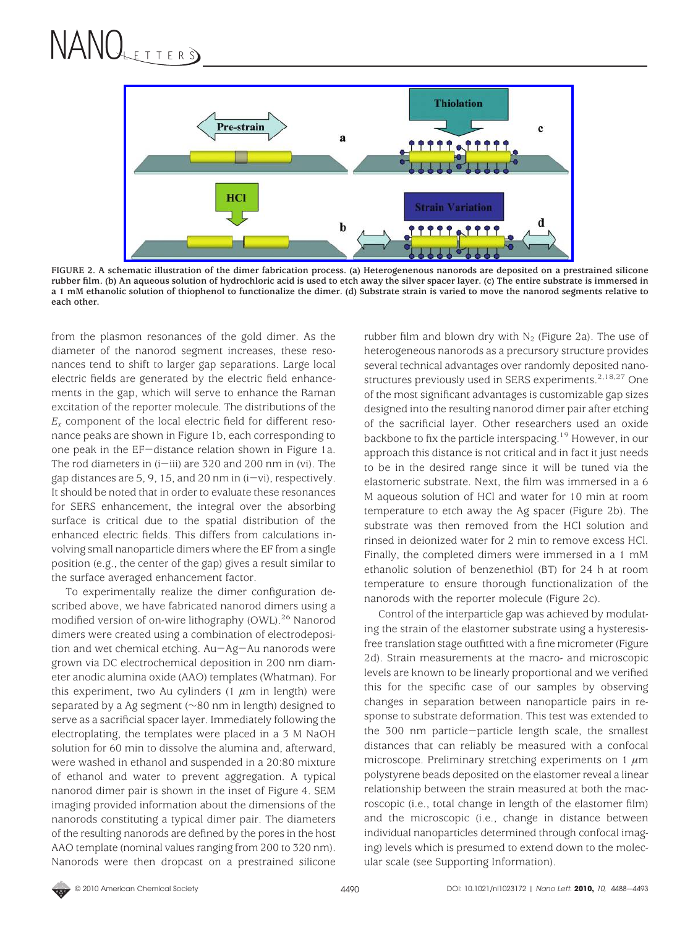

**FIGURE 2. A schematic illustration of the dimer fabrication process. (a) Heterogenenous nanorods are deposited on a prestrained silicone rubber film. (b) An aqueous solution of hydrochloric acid is used to etch away the silver spacer layer. (c) The entire substrate is immersed in a 1 mM ethanolic solution of thiophenol to functionalize the dimer. (d) Substrate strain is varied to move the nanorod segments relative to each other.**

from the plasmon resonances of the gold dimer. As the diameter of the nanorod segment increases, these resonances tend to shift to larger gap separations. Large local electric fields are generated by the electric field enhancements in the gap, which will serve to enhance the Raman excitation of the reporter molecule. The distributions of the  $E_x$  component of the local electric field for different resonance peaks are shown in Figure 1b, each corresponding to one peak in the EF-distance relation shown in Figure 1a. The rod diameters in  $(i-iii)$  are 320 and 200 nm in (vi). The gap distances are 5, 9, 15, and 20 nm in  $(i-vi)$ , respectively. It should be noted that in order to evaluate these resonances for SERS enhancement, the integral over the absorbing surface is critical due to the spatial distribution of the enhanced electric fields. This differs from calculations involving small nanoparticle dimers where the EF from a single position (e.g., the center of the gap) gives a result similar to the surface averaged enhancement factor.

To experimentally realize the dimer configuration described above, we have fabricated nanorod dimers using a modified version of on-wire lithography (OWL).<sup>26</sup> Nanorod dimers were created using a combination of electrodeposition and wet chemical etching. Au-Ag-Au nanorods were grown via DC electrochemical deposition in 200 nm diameter anodic alumina oxide (AAO) templates (Whatman). For this experiment, two Au cylinders (1 *µ*m in length) were separated by a Ag segment (∼80 nm in length) designed to serve as a sacrificial spacer layer. Immediately following the electroplating, the templates were placed in a 3 M NaOH solution for 60 min to dissolve the alumina and, afterward, were washed in ethanol and suspended in a 20:80 mixture of ethanol and water to prevent aggregation. A typical nanorod dimer pair is shown in the inset of Figure 4. SEM imaging provided information about the dimensions of the nanorods constituting a typical dimer pair. The diameters of the resulting nanorods are defined by the pores in the host AAO template (nominal values ranging from 200 to 320 nm). Nanorods were then dropcast on a prestrained silicone

rubber film and blown dry with  $N_2$  (Figure 2a). The use of heterogeneous nanorods as a precursory structure provides several technical advantages over randomly deposited nanostructures previously used in SERS experiments.<sup>2,18,27</sup> One of the most significant advantages is customizable gap sizes designed into the resulting nanorod dimer pair after etching of the sacrificial layer. Other researchers used an oxide backbone to fix the particle interspacing.19 However, in our approach this distance is not critical and in fact it just needs to be in the desired range since it will be tuned via the elastomeric substrate. Next, the film was immersed in a 6 M aqueous solution of HCl and water for 10 min at room temperature to etch away the Ag spacer (Figure 2b). The substrate was then removed from the HCl solution and rinsed in deionized water for 2 min to remove excess HCl. Finally, the completed dimers were immersed in a 1 mM ethanolic solution of benzenethiol (BT) for 24 h at room temperature to ensure thorough functionalization of the nanorods with the reporter molecule (Figure 2c).

Control of the interparticle gap was achieved by modulating the strain of the elastomer substrate using a hysteresisfree translation stage outfitted with a fine micrometer (Figure 2d). Strain measurements at the macro- and microscopic levels are known to be linearly proportional and we verified this for the specific case of our samples by observing changes in separation between nanoparticle pairs in response to substrate deformation. This test was extended to the 300 nm particle-particle length scale, the smallest distances that can reliably be measured with a confocal microscope. Preliminary stretching experiments on 1 *µ*m polystyrene beads deposited on the elastomer reveal a linear relationship between the strain measured at both the macroscopic (i.e., total change in length of the elastomer film) and the microscopic (i.e., change in distance between individual nanoparticles determined through confocal imaging) levels which is presumed to extend down to the molecular scale (see Supporting Information).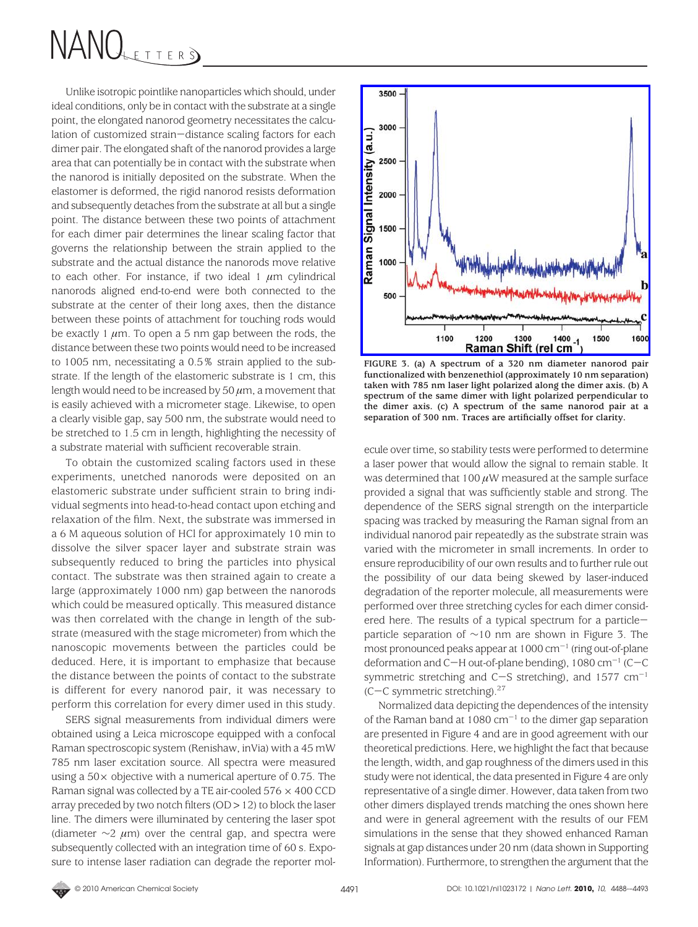# NANOLETTERS)

Unlike isotropic pointlike nanoparticles which should, under ideal conditions, only be in contact with the substrate at a single point, the elongated nanorod geometry necessitates the calculation of customized strain-distance scaling factors for each dimer pair. The elongated shaft of the nanorod provides a large area that can potentially be in contact with the substrate when the nanorod is initially deposited on the substrate. When the elastomer is deformed, the rigid nanorod resists deformation and subsequently detaches from the substrate at all but a single point. The distance between these two points of attachment for each dimer pair determines the linear scaling factor that governs the relationship between the strain applied to the substrate and the actual distance the nanorods move relative to each other. For instance, if two ideal 1 *µ*m cylindrical nanorods aligned end-to-end were both connected to the substrate at the center of their long axes, then the distance between these points of attachment for touching rods would be exactly 1 *µ*m. To open a 5 nm gap between the rods, the distance between these two points would need to be increased to 1005 nm, necessitating a 0.5% strain applied to the substrate. If the length of the elastomeric substrate is 1 cm, this length would need to be increased by 50 *µ*m, a movement that is easily achieved with a micrometer stage. Likewise, to open a clearly visible gap, say 500 nm, the substrate would need to be stretched to 1.5 cm in length, highlighting the necessity of a substrate material with sufficient recoverable strain.

To obtain the customized scaling factors used in these experiments, unetched nanorods were deposited on an elastomeric substrate under sufficient strain to bring individual segments into head-to-head contact upon etching and relaxation of the film. Next, the substrate was immersed in a 6 M aqueous solution of HCl for approximately 10 min to dissolve the silver spacer layer and substrate strain was subsequently reduced to bring the particles into physical contact. The substrate was then strained again to create a large (approximately 1000 nm) gap between the nanorods which could be measured optically. This measured distance was then correlated with the change in length of the substrate (measured with the stage micrometer) from which the nanoscopic movements between the particles could be deduced. Here, it is important to emphasize that because the distance between the points of contact to the substrate is different for every nanorod pair, it was necessary to perform this correlation for every dimer used in this study.

SERS signal measurements from individual dimers were obtained using a Leica microscope equipped with a confocal Raman spectroscopic system (Renishaw, inVia) with a 45 mW 785 nm laser excitation source. All spectra were measured using a  $50 \times$  objective with a numerical aperture of 0.75. The Raman signal was collected by a TE air-cooled  $576 \times 400$  CCD array preceded by two notch filters (OD > 12) to block the laser line. The dimers were illuminated by centering the laser spot (diameter ∼2 *µ*m) over the central gap, and spectra were subsequently collected with an integration time of 60 s. Exposure to intense laser radiation can degrade the reporter mol-



**FIGURE 3. (a) A spectrum of a 320 nm diameter nanorod pair functionalized with benzenethiol (approximately 10 nm separation) taken with 785 nm laser light polarized along the dimer axis. (b) A spectrum of the same dimer with light polarized perpendicular to the dimer axis. (c) A spectrum of the same nanorod pair at a separation of 300 nm. Traces are artificially offset for clarity.**

ecule over time, so stability tests were performed to determine a laser power that would allow the signal to remain stable. It was determined that 100  $\mu$ W measured at the sample surface provided a signal that was sufficiently stable and strong. The dependence of the SERS signal strength on the interparticle spacing was tracked by measuring the Raman signal from an individual nanorod pair repeatedly as the substrate strain was varied with the micrometer in small increments. In order to ensure reproducibility of our own results and to further rule out the possibility of our data being skewed by laser-induced degradation of the reporter molecule, all measurements were performed over three stretching cycles for each dimer considered here. The results of a typical spectrum for a particleparticle separation of ∼10 nm are shown in Figure 3. The most pronounced peaks appear at  $1000 \text{ cm}^{-1}$  (ring out-of-plane deformation and C-H out-of-plane bending), 1080 cm<sup>-1</sup> (C-C symmetric stretching and C-S stretching), and  $1577 \text{ cm}^{-1}$ (C-C symmetric stretching).27

Normalized data depicting the dependences of the intensity of the Raman band at 1080  $cm^{-1}$  to the dimer gap separation are presented in Figure 4 and are in good agreement with our theoretical predictions. Here, we highlight the fact that because the length, width, and gap roughness of the dimers used in this study were not identical, the data presented in Figure 4 are only representative of a single dimer. However, data taken from two other dimers displayed trends matching the ones shown here and were in general agreement with the results of our FEM simulations in the sense that they showed enhanced Raman signals at gap distances under 20 nm (data shown in Supporting Information). Furthermore, to strengthen the argument that the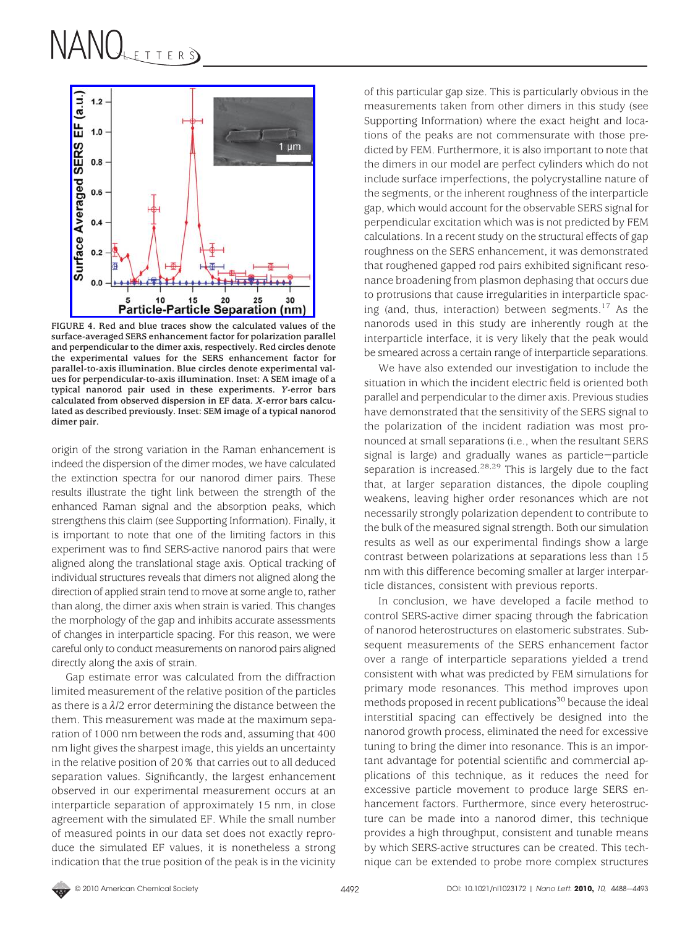### NANOLETTERS



**FIGURE 4. Red and blue traces show the calculated values of the surface-averaged SERS enhancement factor for polarization parallel and perpendicular to the dimer axis, respectively. Red circles denote the experimental values for the SERS enhancement factor for parallel-to-axis illumination. Blue circles denote experimental values for perpendicular-to-axis illumination. Inset: A SEM image of a typical nanorod pair used in these experiments.** *Y***-error bars calculated from observed dispersion in EF data.** *X***-error bars calculated as described previously. Inset: SEM image of a typical nanorod dimer pair.**

origin of the strong variation in the Raman enhancement is indeed the dispersion of the dimer modes, we have calculated the extinction spectra for our nanorod dimer pairs. These results illustrate the tight link between the strength of the enhanced Raman signal and the absorption peaks, which strengthens this claim (see Supporting Information). Finally, it is important to note that one of the limiting factors in this experiment was to find SERS-active nanorod pairs that were aligned along the translational stage axis. Optical tracking of individual structures reveals that dimers not aligned along the direction of applied strain tend to move at some angle to, rather than along, the dimer axis when strain is varied. This changes the morphology of the gap and inhibits accurate assessments of changes in interparticle spacing. For this reason, we were careful only to conduct measurements on nanorod pairs aligned directly along the axis of strain.

Gap estimate error was calculated from the diffraction limited measurement of the relative position of the particles as there is a *λ*/2 error determining the distance between the them. This measurement was made at the maximum separation of 1000 nm between the rods and, assuming that 400 nm light gives the sharpest image, this yields an uncertainty in the relative position of 20% that carries out to all deduced separation values. Significantly, the largest enhancement observed in our experimental measurement occurs at an interparticle separation of approximately 15 nm, in close agreement with the simulated EF. While the small number of measured points in our data set does not exactly reproduce the simulated EF values, it is nonetheless a strong indication that the true position of the peak is in the vicinity of this particular gap size. This is particularly obvious in the measurements taken from other dimers in this study (see Supporting Information) where the exact height and locations of the peaks are not commensurate with those predicted by FEM. Furthermore, it is also important to note that the dimers in our model are perfect cylinders which do not include surface imperfections, the polycrystalline nature of the segments, or the inherent roughness of the interparticle gap, which would account for the observable SERS signal for perpendicular excitation which was is not predicted by FEM calculations. In a recent study on the structural effects of gap roughness on the SERS enhancement, it was demonstrated that roughened gapped rod pairs exhibited significant resonance broadening from plasmon dephasing that occurs due to protrusions that cause irregularities in interparticle spacing (and, thus, interaction) between segments.<sup>17</sup> As the nanorods used in this study are inherently rough at the interparticle interface, it is very likely that the peak would be smeared across a certain range of interparticle separations.

We have also extended our investigation to include the situation in which the incident electric field is oriented both parallel and perpendicular to the dimer axis. Previous studies have demonstrated that the sensitivity of the SERS signal to the polarization of the incident radiation was most pronounced at small separations (i.e., when the resultant SERS signal is large) and gradually wanes as particle-particle separation is increased.28,29 This is largely due to the fact that, at larger separation distances, the dipole coupling weakens, leaving higher order resonances which are not necessarily strongly polarization dependent to contribute to the bulk of the measured signal strength. Both our simulation results as well as our experimental findings show a large contrast between polarizations at separations less than 15 nm with this difference becoming smaller at larger interparticle distances, consistent with previous reports.

In conclusion, we have developed a facile method to control SERS-active dimer spacing through the fabrication of nanorod heterostructures on elastomeric substrates. Subsequent measurements of the SERS enhancement factor over a range of interparticle separations yielded a trend consistent with what was predicted by FEM simulations for primary mode resonances. This method improves upon methods proposed in recent publications $30$  because the ideal interstitial spacing can effectively be designed into the nanorod growth process, eliminated the need for excessive tuning to bring the dimer into resonance. This is an important advantage for potential scientific and commercial applications of this technique, as it reduces the need for excessive particle movement to produce large SERS enhancement factors. Furthermore, since every heterostructure can be made into a nanorod dimer, this technique provides a high throughput, consistent and tunable means by which SERS-active structures can be created. This technique can be extended to probe more complex structures